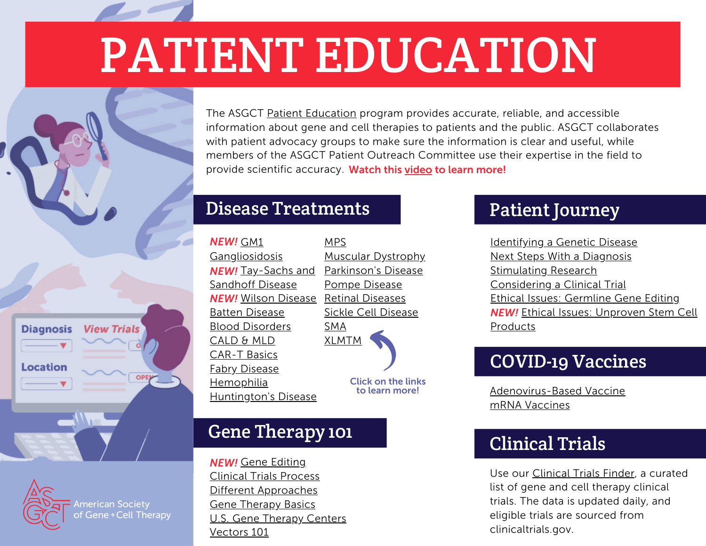# PATIENT EDUCATION



#### Disease Treatments

| NEW! GM1                    | MPS                        |
|-----------------------------|----------------------------|
| <b>Gangliosidosis</b>       | <u> Muscular Dystrophy</u> |
| <b>NEW!</b> Tay-Sachs and   | Parkinson's Disease        |
| Sandhoff Disease            | <u>Pompe Disease</u>       |
| <b>NEW!</b> Wilson Disease  | <b>Retinal Diseases</b>    |
| <b>Batten Disease</b>       | <b>Sickle Cell Disease</b> |
| <b>Blood Disorders</b>      | SMA                        |
| CALD & MLD                  | <b>XLMTM</b>               |
| <b>CAR-T Basics</b>         |                            |
| <b>Fabry Disease</b>        |                            |
| <u>Hemophilia</u>           | <b>Click on the links</b>  |
| <b>Huntington's Disease</b> | to learn more!             |

# Gene Therapy 101

Gene [Editing](https://patienteducation.asgct.org/gene-therapy-101/gene-editing) *NEW!*Clinical Trials [Process](https://patienteducation.asgct.org/gene-therapy-101/clinical-trials-process) Different [Approaches](https://patienteducation.asgct.org/gene-therapy-101/different-approaches) Gene [Therapy](https://patienteducation.asgct.org/gene-therapy-101/gene-therapy-basics) Basics U.S. Gene [Therapy](https://patienteducation.asgct.org/gene-therapy-101/gene-therapy-centers) Centers [Vectors](https://patienteducation.asgct.org/gene-therapy-101/vectors-101) 101

# Patient Journey

[Identifying](https://patienteducation.asgct.org/patient-journey/identifying-a-genetic-disease) a Genetic Disease Next Steps With a [Diagnosis](https://patienteducation.asgct.org/patient-journey/next-steps-with-a-diagnosis) [Stimulating](https://patienteducation.asgct.org/patient-journey/stimulating-research) Research [Considering](https://patienteducation.asgct.org/patient-journey/considering-a-clinical-trial) a Clinical Trial Ethical Issues: [Germline](https://patienteducation.asgct.org/patient-journey/ethical-issues-germline-gene-editing) Gene Editing Ethical Issues: [Unproven](https://patienteducation.asgct.org/patient-journey/ethical-issues-illegitimate-clinical-trials) Stem Cell *NEW!* Products

# COVID-19 Vaccines

[Adenovirus-Based](https://patienteducation.asgct.org/covid19-vaccines/adenovirus-vaccines-for-covid19) Vaccine mRNA [Vaccines](https://patienteducation.asgct.org/covid19-vaccines/mrna-vaccines-for-covid19)

# Clinical Trials

Use our [Clinical](https://asgct.careboxhealth.com/) Trials Finder, a curated list of gene and cell therapy clinical trials. The data is updated daily, and eligible trials are sourced from clinicaltrials.gov.

**Diagnosis View Trials Location** OPEN

**American Society** of Gene + Cell Therapy